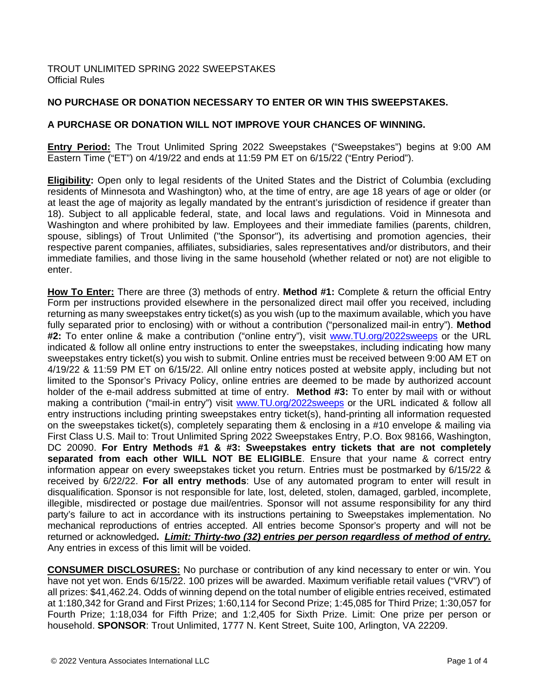## **NO PURCHASE OR DONATION NECESSARY TO ENTER OR WIN THIS SWEEPSTAKES.**

## **A PURCHASE OR DONATION WILL NOT IMPROVE YOUR CHANCES OF WINNING.**

**Entry Period:** The Trout Unlimited Spring 2022 Sweepstakes ("Sweepstakes") begins at 9:00 AM Eastern Time ("ET") on 4/19/22 and ends at 11:59 PM ET on 6/15/22 ("Entry Period").

**Eligibility:** Open only to legal residents of the United States and the District of Columbia (excluding residents of Minnesota and Washington) who, at the time of entry, are age 18 years of age or older (or at least the age of majority as legally mandated by the entrant's jurisdiction of residence if greater than 18). Subject to all applicable federal, state, and local laws and regulations. Void in Minnesota and Washington and where prohibited by law. Employees and their immediate families (parents, children, spouse, siblings) of Trout Unlimited ("the Sponsor"), its advertising and promotion agencies, their respective parent companies, affiliates, subsidiaries, sales representatives and/or distributors, and their immediate families, and those living in the same household (whether related or not) are not eligible to enter.

**How To Enter:** There are three (3) methods of entry. **Method #1:** Complete & return the official Entry Form per instructions provided elsewhere in the personalized direct mail offer you received, including returning as many sweepstakes entry ticket(s) as you wish (up to the maximum available, which you have fully separated prior to enclosing) with or without a contribution ("personalized mail-in entry"). **Method #2:** To enter online & make a contribution ("online entry"), visit [www.TU.org/2022sweeps](http://www.tu.org/2022sweeps) or the URL indicated & follow all online entry instructions to enter the sweepstakes, including indicating how many sweepstakes entry ticket(s) you wish to submit. Online entries must be received between 9:00 AM ET on 4/19/22 & 11:59 PM ET on 6/15/22. All online entry notices posted at website apply, including but not limited to the Sponsor's Privacy Policy, online entries are deemed to be made by authorized account holder of the e-mail address submitted at time of entry. **Method #3:** To enter by mail with or without making a contribution ("mail-in entry") visit [www.TU.org/2022sweeps](http://www.tu.org/2022sweeps) or the URL indicated & follow all entry instructions including printing sweepstakes entry ticket(s), hand-printing all information requested on the sweepstakes ticket(s), completely separating them & enclosing in a #10 envelope & mailing via First Class U.S. Mail to: Trout Unlimited Spring 2022 Sweepstakes Entry, P.O. Box 98166, Washington, DC 20090. **For Entry Methods #1 & #3: Sweepstakes entry tickets that are not completely separated from each other WILL NOT BE ELIGIBLE**. Ensure that your name & correct entry information appear on every sweepstakes ticket you return. Entries must be postmarked by 6/15/22 & received by 6/22/22. **For all entry methods**: Use of any automated program to enter will result in disqualification. Sponsor is not responsible for late, lost, deleted, stolen, damaged, garbled, incomplete, illegible, misdirected or postage due mail/entries. Sponsor will not assume responsibility for any third party's failure to act in accordance with its instructions pertaining to Sweepstakes implementation. No mechanical reproductions of entries accepted. All entries become Sponsor's property and will not be returned or acknowledged**.** *Limit: Thirty-two (32) entries per person regardless of method of entry.*  Any entries in excess of this limit will be voided.

**CONSUMER DISCLOSURES:** No purchase or contribution of any kind necessary to enter or win. You have not yet won. Ends 6/15/22. 100 prizes will be awarded. Maximum verifiable retail values ("VRV") of all prizes: \$41,462.24. Odds of winning depend on the total number of eligible entries received, estimated at 1:180,342 for Grand and First Prizes; 1:60,114 for Second Prize; 1:45,085 for Third Prize; 1:30,057 for Fourth Prize; 1:18,034 for Fifth Prize; and 1:2,405 for Sixth Prize. Limit: One prize per person or household. **SPONSOR**: Trout Unlimited, 1777 N. Kent Street, Suite 100, Arlington, VA 22209.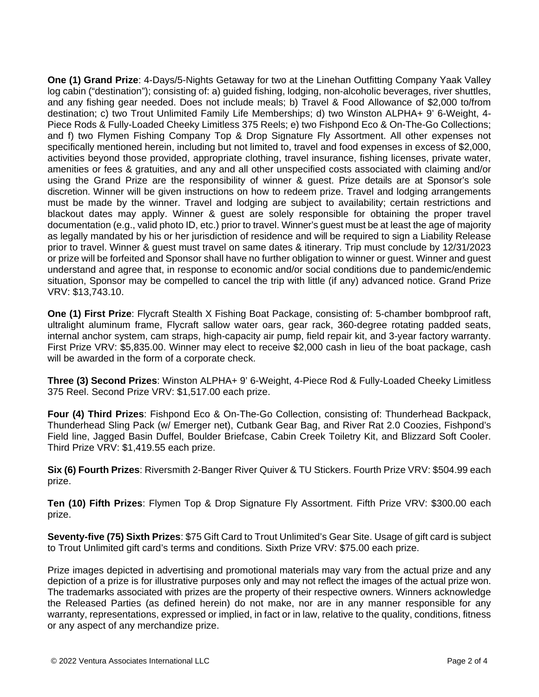**One (1) Grand Prize**: 4-Days/5-Nights Getaway for two at the Linehan Outfitting Company Yaak Valley log cabin ("destination"); consisting of: a) guided fishing, lodging, non-alcoholic beverages, river shuttles, and any fishing gear needed. Does not include meals; b) Travel & Food Allowance of \$2,000 to/from destination; c) two Trout Unlimited Family Life Memberships; d) two Winston ALPHA+ 9' 6-Weight, 4- Piece Rods & Fully-Loaded Cheeky Limitless 375 Reels; e) two Fishpond Eco & On-The-Go Collections; and f) two Flymen Fishing Company Top & Drop Signature Fly Assortment. All other expenses not specifically mentioned herein, including but not limited to, travel and food expenses in excess of \$2,000, activities beyond those provided, appropriate clothing, travel insurance, fishing licenses, private water, amenities or fees & gratuities, and any and all other unspecified costs associated with claiming and/or using the Grand Prize are the responsibility of winner & guest. Prize details are at Sponsor's sole discretion. Winner will be given instructions on how to redeem prize. Travel and lodging arrangements must be made by the winner. Travel and lodging are subject to availability; certain restrictions and blackout dates may apply. Winner & guest are solely responsible for obtaining the proper travel documentation (e.g., valid photo ID, etc.) prior to travel. Winner's guest must be at least the age of majority as legally mandated by his or her jurisdiction of residence and will be required to sign a Liability Release prior to travel. Winner & guest must travel on same dates & itinerary. Trip must conclude by 12/31/2023 or prize will be forfeited and Sponsor shall have no further obligation to winner or guest. Winner and guest understand and agree that, in response to economic and/or social conditions due to pandemic/endemic situation, Sponsor may be compelled to cancel the trip with little (if any) advanced notice. Grand Prize VRV: \$13,743.10.

**One (1) First Prize**: Flycraft Stealth X Fishing Boat Package, consisting of: 5-chamber bombproof raft, ultralight aluminum frame, Flycraft sallow water oars, gear rack, 360-degree rotating padded seats, internal anchor system, cam straps, high-capacity air pump, field repair kit, and 3-year factory warranty. First Prize VRV: \$5,835.00. Winner may elect to receive \$2,000 cash in lieu of the boat package, cash will be awarded in the form of a corporate check.

**Three (3) Second Prizes**: Winston ALPHA+ 9' 6-Weight, 4-Piece Rod & Fully-Loaded Cheeky Limitless 375 Reel. Second Prize VRV: \$1,517.00 each prize.

**Four (4) Third Prizes**: Fishpond Eco & On-The-Go Collection, consisting of: Thunderhead Backpack, Thunderhead Sling Pack (w/ Emerger net), Cutbank Gear Bag, and River Rat 2.0 Coozies, Fishpond's Field line, Jagged Basin Duffel, Boulder Briefcase, Cabin Creek Toiletry Kit, and Blizzard Soft Cooler. Third Prize VRV: \$1,419.55 each prize.

**Six (6) Fourth Prizes**: Riversmith 2-Banger River Quiver & TU Stickers. Fourth Prize VRV: \$504.99 each prize.

**Ten (10) Fifth Prizes**: Flymen Top & Drop Signature Fly Assortment. Fifth Prize VRV: \$300.00 each prize.

**Seventy-five (75) Sixth Prizes**: \$75 Gift Card to Trout Unlimited's Gear Site. Usage of gift card is subject to Trout Unlimited gift card's terms and conditions. Sixth Prize VRV: \$75.00 each prize.

Prize images depicted in advertising and promotional materials may vary from the actual prize and any depiction of a prize is for illustrative purposes only and may not reflect the images of the actual prize won. The trademarks associated with prizes are the property of their respective owners. Winners acknowledge the Released Parties (as defined herein) do not make, nor are in any manner responsible for any warranty, representations, expressed or implied, in fact or in law, relative to the quality, conditions, fitness or any aspect of any merchandize prize.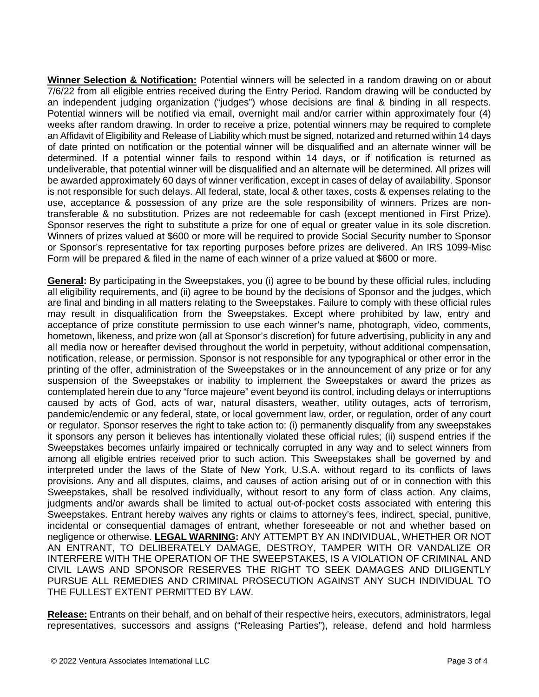**Winner Selection & Notification:** Potential winners will be selected in a random drawing on or about 7/6/22 from all eligible entries received during the Entry Period. Random drawing will be conducted by an independent judging organization ("judges") whose decisions are final & binding in all respects. Potential winners will be notified via email, overnight mail and/or carrier within approximately four (4) weeks after random drawing. In order to receive a prize, potential winners may be required to complete an Affidavit of Eligibility and Release of Liability which must be signed, notarized and returned within 14 days of date printed on notification or the potential winner will be disqualified and an alternate winner will be determined. If a potential winner fails to respond within 14 days, or if notification is returned as undeliverable, that potential winner will be disqualified and an alternate will be determined. All prizes will be awarded approximately 60 days of winner verification, except in cases of delay of availability. Sponsor is not responsible for such delays. All federal, state, local & other taxes, costs & expenses relating to the use, acceptance & possession of any prize are the sole responsibility of winners. Prizes are nontransferable & no substitution. Prizes are not redeemable for cash (except mentioned in First Prize). Sponsor reserves the right to substitute a prize for one of equal or greater value in its sole discretion. Winners of prizes valued at \$600 or more will be required to provide Social Security number to Sponsor or Sponsor's representative for tax reporting purposes before prizes are delivered. An IRS 1099-Misc Form will be prepared & filed in the name of each winner of a prize valued at \$600 or more.

**General:** By participating in the Sweepstakes, you (i) agree to be bound by these official rules, including all eligibility requirements, and (ii) agree to be bound by the decisions of Sponsor and the judges, which are final and binding in all matters relating to the Sweepstakes. Failure to comply with these official rules may result in disqualification from the Sweepstakes. Except where prohibited by law, entry and acceptance of prize constitute permission to use each winner's name, photograph, video, comments, hometown, likeness, and prize won (all at Sponsor's discretion) for future advertising, publicity in any and all media now or hereafter devised throughout the world in perpetuity, without additional compensation, notification, release, or permission. Sponsor is not responsible for any typographical or other error in the printing of the offer, administration of the Sweepstakes or in the announcement of any prize or for any suspension of the Sweepstakes or inability to implement the Sweepstakes or award the prizes as contemplated herein due to any "force majeure" event beyond its control, including delays or interruptions caused by acts of God, acts of war, natural disasters, weather, utility outages, acts of terrorism, pandemic/endemic or any federal, state, or local government law, order, or regulation, order of any court or regulator. Sponsor reserves the right to take action to: (i) permanently disqualify from any sweepstakes it sponsors any person it believes has intentionally violated these official rules; (ii) suspend entries if the Sweepstakes becomes unfairly impaired or technically corrupted in any way and to select winners from among all eligible entries received prior to such action. This Sweepstakes shall be governed by and interpreted under the laws of the State of New York, U.S.A. without regard to its conflicts of laws provisions. Any and all disputes, claims, and causes of action arising out of or in connection with this Sweepstakes, shall be resolved individually, without resort to any form of class action. Any claims, judgments and/or awards shall be limited to actual out-of-pocket costs associated with entering this Sweepstakes. Entrant hereby waives any rights or claims to attorney's fees, indirect, special, punitive, incidental or consequential damages of entrant, whether foreseeable or not and whether based on negligence or otherwise. **LEGAL WARNING:** ANY ATTEMPT BY AN INDIVIDUAL, WHETHER OR NOT AN ENTRANT, TO DELIBERATELY DAMAGE, DESTROY, TAMPER WITH OR VANDALIZE OR INTERFERE WITH THE OPERATION OF THE SWEEPSTAKES, IS A VIOLATION OF CRIMINAL AND CIVIL LAWS AND SPONSOR RESERVES THE RIGHT TO SEEK DAMAGES AND DILIGENTLY PURSUE ALL REMEDIES AND CRIMINAL PROSECUTION AGAINST ANY SUCH INDIVIDUAL TO THE FULLEST EXTENT PERMITTED BY LAW.

**Release:** Entrants on their behalf, and on behalf of their respective heirs, executors, administrators, legal representatives, successors and assigns ("Releasing Parties"), release, defend and hold harmless